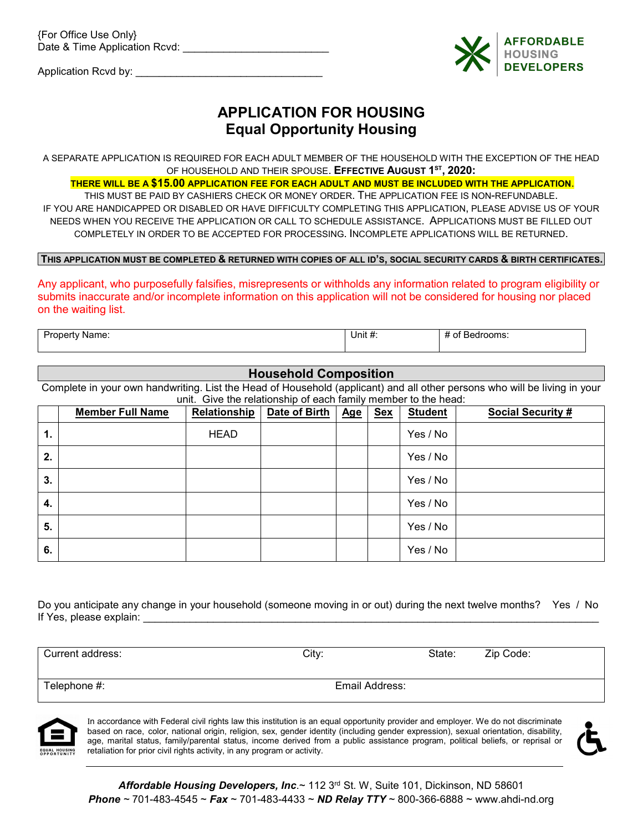{For Office Use Only} Date & Time Application Rcvd: \_\_\_\_\_\_\_\_\_\_\_\_\_\_\_\_\_\_\_\_\_\_\_\_\_

Application Rcvd by: \_\_\_\_\_\_\_\_\_\_\_\_\_\_\_\_\_\_\_\_\_\_\_\_\_\_\_\_\_\_\_\_



## **APPLICATION FOR HOUSING Equal Opportunity Housing**

A SEPARATE APPLICATION IS REQUIRED FOR EACH ADULT MEMBER OF THE HOUSEHOLD WITH THE EXCEPTION OF THE HEAD OF HOUSEHOLD AND THEIR SPOUSE. **EFFECTIVE AUGUST 1ST, 2020:** 

### **THERE WILL BE A \$15.00 APPLICATION FEE FOR EACH ADULT AND MUST BE INCLUDED WITH THE APPLICATION**.

THIS MUST BE PAID BY CASHIERS CHECK OR MONEY ORDER. THE APPLICATION FEE IS NON-REFUNDABLE. IF YOU ARE HANDICAPPED OR DISABLED OR HAVE DIFFICULTY COMPLETING THIS APPLICATION, PLEASE ADVISE US OF YOUR NEEDS WHEN YOU RECEIVE THE APPLICATION OR CALL TO SCHEDULE ASSISTANCE. APPLICATIONS MUST BE FILLED OUT COMPLETELY IN ORDER TO BE ACCEPTED FOR PROCESSING. INCOMPLETE APPLICATIONS WILL BE RETURNED.

### **THIS APPLICATION MUST BE COMPLETED & RETURNED WITH COPIES OF ALL ID'S, SOCIAL SECURITY CARDS & BIRTH CERTIFICATES.**

Any applicant, who purposefully falsifies, misrepresents or withholds any information related to program eligibility or submits inaccurate and/or incomplete information on this application will not be considered for housing nor placed on the waiting list.

| -<br>Property<br>Name:<br>-------- | Unit $\frac{1}{2}$ . | rooms:<br>O1<br>᠇᠇<br>вe<br>$\bm{\pi}$ |
|------------------------------------|----------------------|----------------------------------------|
|                                    |                      |                                        |

### **Household Composition**

Complete in your own handwriting. List the Head of Household (applicant) and all other persons who will be living in your unit. Give the relationship of each family member to the head:

|    | <b>Member Full Name</b> | Relationship | Date of Birth | <u>Age</u> | <b>Sex</b> | <b>Student</b> | <b>Social Security #</b> |
|----|-------------------------|--------------|---------------|------------|------------|----------------|--------------------------|
| 1. |                         | <b>HEAD</b>  |               |            |            | Yes / No       |                          |
| 2. |                         |              |               |            |            | Yes / No       |                          |
| 3. |                         |              |               |            |            | Yes / No       |                          |
| 4. |                         |              |               |            |            | Yes / No       |                          |
| 5. |                         |              |               |            |            | Yes / No       |                          |
| 6. |                         |              |               |            |            | Yes / No       |                          |

Do you anticipate any change in your household (someone moving in or out) during the next twelve months? Yes / No If Yes, please explain: **Wese** and the set of the set of the set of the set of the set of the set of the set of the set of the set of the set of the set of the set of the set of the set of the set of the set of the set of

Current address: City: State: Zip Code: Telephone #: Email Address:



In accordance with Federal civil rights law this institution is an equal opportunity provider and employer. We do not discriminate based on race, color, national origin, religion, sex, gender identity (including gender expression), sexual orientation, disability, age, marital status, family/parental status, income derived from a public assistance program, political beliefs, or reprisal or retaliation for prior civil rights activity, in any program or activity.

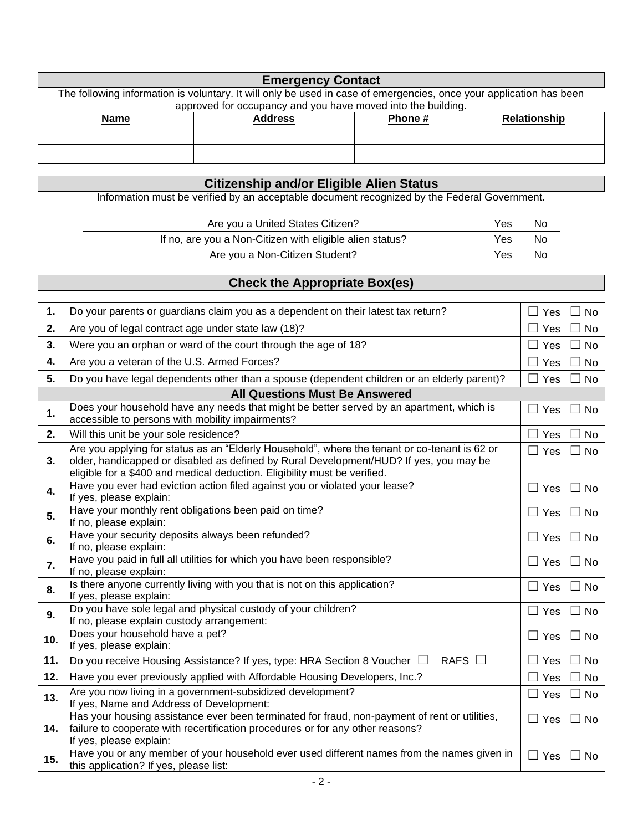### **Emergency Contact**

The following information is voluntary. It will only be used in case of emergencies, once your application has been approved for occupancy and you have moved into the building.

| <b>Name</b> | <b>Address</b> | Phone# | Relationship |
|-------------|----------------|--------|--------------|
|             |                |        |              |
|             |                |        |              |
|             |                |        |              |

### **Citizenship and/or Eligible Alien Status**

Information must be verified by an acceptable document recognized by the Federal Government.

| Are you a United States Citizen?                         | <b>Yes</b> | <b>No</b> |
|----------------------------------------------------------|------------|-----------|
| If no, are you a Non-Citizen with eligible alien status? | Yes        | No        |
| Are you a Non-Citizen Student?                           | Yes        | No.       |

## **Check the Appropriate Box(es)**

| 1.                                    | Do your parents or guardians claim you as a dependent on their latest tax return?                                                                                                                                                                                    | Yes<br><b>No</b>                |  |  |  |  |  |
|---------------------------------------|----------------------------------------------------------------------------------------------------------------------------------------------------------------------------------------------------------------------------------------------------------------------|---------------------------------|--|--|--|--|--|
| 2.                                    | Are you of legal contract age under state law (18)?                                                                                                                                                                                                                  | Yes<br><b>No</b>                |  |  |  |  |  |
| 3.                                    | Were you an orphan or ward of the court through the age of 18?                                                                                                                                                                                                       | Yes<br><b>No</b>                |  |  |  |  |  |
| 4.                                    | Are you a veteran of the U.S. Armed Forces?                                                                                                                                                                                                                          | Yes<br>No<br>$\perp$            |  |  |  |  |  |
| 5.                                    | Do you have legal dependents other than a spouse (dependent children or an elderly parent)?                                                                                                                                                                          | $\Box$<br>Yes<br><b>No</b>      |  |  |  |  |  |
| <b>All Questions Must Be Answered</b> |                                                                                                                                                                                                                                                                      |                                 |  |  |  |  |  |
| 1.                                    | Does your household have any needs that might be better served by an apartment, which is<br>accessible to persons with mobility impairments?                                                                                                                         | $\Box$ Yes<br>$\square$ No      |  |  |  |  |  |
| 2.                                    | Will this unit be your sole residence?                                                                                                                                                                                                                               | <b>No</b><br>Yes                |  |  |  |  |  |
| 3.                                    | Are you applying for status as an "Elderly Household", where the tenant or co-tenant is 62 or<br>older, handicapped or disabled as defined by Rural Development/HUD? If yes, you may be<br>eligible for a \$400 and medical deduction. Eligibility must be verified. | $\Box$ Yes<br>$\Box$ No         |  |  |  |  |  |
| 4.                                    | Have you ever had eviction action filed against you or violated your lease?<br>If yes, please explain:                                                                                                                                                               | $\Box$ Yes<br>$\Box$ No         |  |  |  |  |  |
| 5.                                    | Have your monthly rent obligations been paid on time?<br>If no, please explain:                                                                                                                                                                                      | $\Box$ Yes<br><b>No</b>         |  |  |  |  |  |
| 6.                                    | Have your security deposits always been refunded?<br>If no, please explain:                                                                                                                                                                                          | $\Box$ Yes<br>⊿ No              |  |  |  |  |  |
| 7.                                    | Have you paid in full all utilities for which you have been responsible?<br>If no, please explain:                                                                                                                                                                   | $\Box$ Yes<br>No                |  |  |  |  |  |
| 8.                                    | Is there anyone currently living with you that is not on this application?<br>If yes, please explain:                                                                                                                                                                | $\Box$<br>Yes<br>⊿ No           |  |  |  |  |  |
| 9.                                    | Do you have sole legal and physical custody of your children?<br>If no, please explain custody arrangement:                                                                                                                                                          | $\Box$<br>Yes<br>N <sub>o</sub> |  |  |  |  |  |
| 10.                                   | Does your household have a pet?<br>If yes, please explain:                                                                                                                                                                                                           | $\Box$ Yes<br>$\Box$ No         |  |  |  |  |  |
| 11.                                   | RAFS $\Box$<br>Do you receive Housing Assistance? If yes, type: HRA Section 8 Voucher □                                                                                                                                                                              | No<br>Yes                       |  |  |  |  |  |
| 12.                                   | Have you ever previously applied with Affordable Housing Developers, Inc.?                                                                                                                                                                                           | Yes<br><b>No</b>                |  |  |  |  |  |
| 13.                                   | Are you now living in a government-subsidized development?<br>If yes, Name and Address of Development:                                                                                                                                                               | $\Box$ Yes<br><b>No</b><br>Ū,   |  |  |  |  |  |
| 14.                                   | Has your housing assistance ever been terminated for fraud, non-payment of rent or utilities,<br>failure to cooperate with recertification procedures or for any other reasons?<br>If yes, please explain:                                                           | $\Box$ Yes<br>No<br>$\Box$      |  |  |  |  |  |
| 15.                                   | Have you or any member of your household ever used different names from the names given in<br>this application? If yes, please list:                                                                                                                                 | $\Box$ Yes<br>No                |  |  |  |  |  |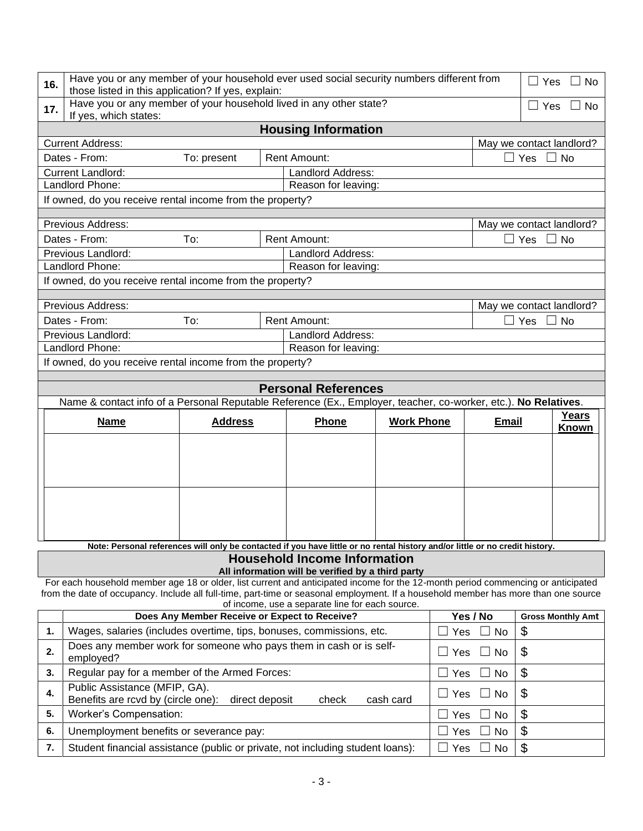| 16.      | Have you or any member of your household ever used social security numbers different from<br>Yes<br>$\Box$ No<br>those listed in this application? If yes, explain: |                |                |                                                   |                   |                                 |              |                                 |                          |
|----------|---------------------------------------------------------------------------------------------------------------------------------------------------------------------|----------------|----------------|---------------------------------------------------|-------------------|---------------------------------|--------------|---------------------------------|--------------------------|
| 17.      | Have you or any member of your household lived in any other state?<br>If yes, which states:                                                                         |                |                |                                                   |                   |                                 |              | $\overline{\phantom{0}}$<br>Yes | $\Box$ No                |
|          |                                                                                                                                                                     |                |                | <b>Housing Information</b>                        |                   |                                 |              |                                 |                          |
|          | <b>Current Address:</b>                                                                                                                                             |                |                |                                                   |                   |                                 |              |                                 | May we contact landlord? |
|          | Dates - From:                                                                                                                                                       | To: present    |                | <b>Rent Amount:</b>                               |                   |                                 |              | ⊃ Yes □ No                      |                          |
|          | <b>Current Landlord:</b><br>Landlord Address:                                                                                                                       |                |                |                                                   |                   |                                 |              |                                 |                          |
|          | Landlord Phone:<br>Reason for leaving:                                                                                                                              |                |                |                                                   |                   |                                 |              |                                 |                          |
|          | If owned, do you receive rental income from the property?                                                                                                           |                |                |                                                   |                   |                                 |              |                                 |                          |
|          | Previous Address:<br>May we contact landlord?                                                                                                                       |                |                |                                                   |                   |                                 |              |                                 |                          |
|          | Dates - From:                                                                                                                                                       | To:            |                | <b>Rent Amount:</b>                               |                   |                                 |              | ∃ Yes                           | $\Box$ No                |
|          | Previous Landlord:                                                                                                                                                  |                |                | Landlord Address:                                 |                   |                                 |              |                                 |                          |
|          | Landlord Phone:                                                                                                                                                     |                |                | Reason for leaving:                               |                   |                                 |              |                                 |                          |
|          | If owned, do you receive rental income from the property?                                                                                                           |                |                |                                                   |                   |                                 |              |                                 |                          |
|          |                                                                                                                                                                     |                |                |                                                   |                   |                                 |              |                                 |                          |
|          | Previous Address:                                                                                                                                                   |                |                |                                                   |                   |                                 |              |                                 | May we contact landlord? |
|          | Dates - From:                                                                                                                                                       | To:            |                | <b>Rent Amount:</b>                               |                   |                                 |              | ∃ Yes                           | <b>No</b>                |
|          | Previous Landlord:                                                                                                                                                  |                |                | Landlord Address:                                 |                   |                                 |              |                                 |                          |
|          | Landlord Phone:                                                                                                                                                     |                |                | Reason for leaving:                               |                   |                                 |              |                                 |                          |
|          | If owned, do you receive rental income from the property?                                                                                                           |                |                |                                                   |                   |                                 |              |                                 |                          |
|          |                                                                                                                                                                     |                |                |                                                   |                   |                                 |              |                                 |                          |
|          |                                                                                                                                                                     |                |                | <b>Personal References</b>                        |                   |                                 |              |                                 |                          |
|          | Name & contact info of a Personal Reputable Reference (Ex., Employer, teacher, co-worker, etc.). No Relatives.                                                      |                |                |                                                   |                   |                                 |              |                                 |                          |
|          | Years                                                                                                                                                               |                |                |                                                   |                   |                                 |              |                                 |                          |
|          | <b>Name</b>                                                                                                                                                         | <b>Address</b> |                | Phone                                             | <b>Work Phone</b> |                                 | <b>Email</b> |                                 |                          |
|          |                                                                                                                                                                     |                |                |                                                   |                   |                                 |              |                                 | Known                    |
|          |                                                                                                                                                                     |                |                |                                                   |                   |                                 |              |                                 |                          |
|          |                                                                                                                                                                     |                |                |                                                   |                   |                                 |              |                                 |                          |
|          |                                                                                                                                                                     |                |                |                                                   |                   |                                 |              |                                 |                          |
|          |                                                                                                                                                                     |                |                |                                                   |                   |                                 |              |                                 |                          |
|          |                                                                                                                                                                     |                |                |                                                   |                   |                                 |              |                                 |                          |
|          |                                                                                                                                                                     |                |                |                                                   |                   |                                 |              |                                 |                          |
|          |                                                                                                                                                                     |                |                |                                                   |                   |                                 |              |                                 |                          |
|          | Note: Personal references will only be contacted if you have little or no rental history and/or little or no credit history.                                        |                |                |                                                   |                   |                                 |              |                                 |                          |
|          |                                                                                                                                                                     |                |                | <b>Household Income Information</b>               |                   |                                 |              |                                 |                          |
|          |                                                                                                                                                                     |                |                | All information will be verified by a third party |                   |                                 |              |                                 |                          |
|          | For each household member age 18 or older, list current and anticipated income for the 12-month period commencing or anticipated                                    |                |                |                                                   |                   |                                 |              |                                 |                          |
|          | from the date of occupancy. Include all full-time, part-time or seasonal employment. If a household member has more than one source                                 |                |                | of income, use a separate line for each source.   |                   |                                 |              |                                 |                          |
|          |                                                                                                                                                                     |                |                | Does Any Member Receive or Expect to Receive?     |                   |                                 | Yes / No     |                                 | <b>Gross Monthly Amt</b> |
| 1.       | Wages, salaries (includes overtime, tips, bonuses, commissions, etc.                                                                                                |                |                |                                                   |                   | Yes                             | $\Box$ No    | \$                              |                          |
| 2.       | Does any member work for someone who pays them in cash or is self-<br>employed?                                                                                     |                |                |                                                   |                   | $\Box$ Yes                      | No<br>ப      | \$                              |                          |
| 3.       | Regular pay for a member of the Armed Forces:                                                                                                                       |                |                |                                                   |                   | $\overline{\phantom{a}}$<br>Yes | No           |                                 |                          |
|          | Public Assistance (MFIP, GA).                                                                                                                                       |                |                |                                                   |                   |                                 |              | \$                              |                          |
| 4.       | Benefits are rcvd by (circle one):                                                                                                                                  |                | direct deposit | check                                             | cash card         | $\Box$ Yes                      | $\Box$ No    | \$                              |                          |
| 5.       | Worker's Compensation:                                                                                                                                              |                |                |                                                   |                   | Yes<br>$\Box$                   | No           | $\boldsymbol{\mathsf{S}}$       |                          |
| 6.<br>7. | Unemployment benefits or severance pay:<br>Student financial assistance (public or private, not including student loans):                                           |                |                |                                                   |                   | $\Box$<br>Yes<br>Yes            | No<br>No     | \$<br>\$                        |                          |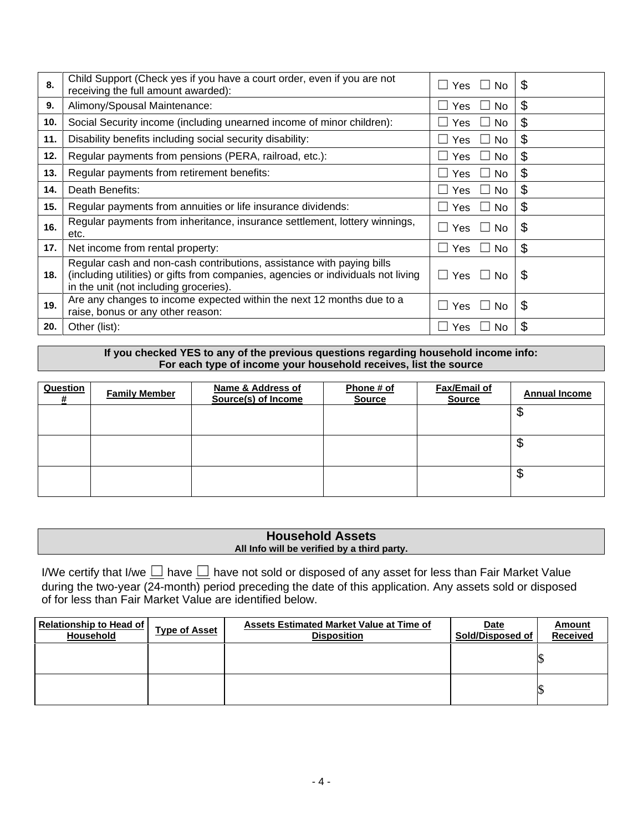| 8.  | Child Support (Check yes if you have a court order, even if you are not<br>receiving the full amount awarded):                                                                                       | Yes $\Box$ No<br>$\Box$                             | \$                         |
|-----|------------------------------------------------------------------------------------------------------------------------------------------------------------------------------------------------------|-----------------------------------------------------|----------------------------|
| 9.  | Alimony/Spousal Maintenance:                                                                                                                                                                         | Yes<br><b>No</b><br>$\blacksquare$                  | \$                         |
| 10. | Social Security income (including unearned income of minor children):                                                                                                                                | No.<br>Yes<br>$\perp$                               | \$                         |
| 11. | Disability benefits including social security disability:                                                                                                                                            | No<br>Yes.<br>$\mathbf{L}$                          | \$                         |
| 12. | Regular payments from pensions (PERA, railroad, etc.):                                                                                                                                               | Yes<br>No<br>$\sim$<br>$\perp$                      | \$                         |
| 13. | Regular payments from retirement benefits:                                                                                                                                                           | No<br>Yes<br>$\blacksquare$<br>$\perp$              | \$                         |
| 14. | Death Benefits:                                                                                                                                                                                      | Yes<br>No.<br>$\perp$<br>$\mathcal{L}$              | \$                         |
| 15. | Regular payments from annuities or life insurance dividends:                                                                                                                                         | No<br>Yes<br>$\blacksquare$<br>$\Box$               | $\boldsymbol{\mathsf{\$}}$ |
| 16. | Regular payments from inheritance, insurance settlement, lottery winnings,<br>etc.                                                                                                                   | Yes $\Box$<br><b>No</b><br>$\overline{\phantom{a}}$ | \$                         |
| 17. | Net income from rental property:                                                                                                                                                                     | No<br>Yes<br>$\blacksquare$<br>$\perp$              | \$                         |
| 18. | Regular cash and non-cash contributions, assistance with paying bills<br>(including utilities) or gifts from companies, agencies or individuals not living<br>in the unit (not including groceries). | Yes $\Box$<br>No.<br>$\perp$                        | \$                         |
| 19. | Are any changes to income expected within the next 12 months due to a<br>raise, bonus or any other reason:                                                                                           | $\overline{\phantom{a}}$<br>Yes $\Box$<br><b>No</b> | \$                         |
| 20. | Other (list):                                                                                                                                                                                        | <b>Yes</b><br>No.                                   | \$                         |

**If you checked YES to any of the previous questions regarding household income info: For each type of income your household receives, list the source**

| Question | <b>Family Member</b> | Name & Address of<br>Source(s) of Income | Phone # of<br><b>Source</b> | Fax/Email of<br><b>Source</b> | <b>Annual Income</b> |
|----------|----------------------|------------------------------------------|-----------------------------|-------------------------------|----------------------|
|          |                      |                                          |                             |                               | Ψ                    |
|          |                      |                                          |                             |                               | จ                    |
|          |                      |                                          |                             |                               | Ψ                    |
|          |                      |                                          |                             |                               |                      |

### **Household Assets All Info will be verified by a third party.**

I/We certify that I/we  $\Box$  have  $\Box$  have not sold or disposed of any asset for less than Fair Market Value during the two-year (24-month) period preceding the date of this application. Any assets sold or disposed of for less than Fair Market Value are identified below.

| Relationship to Head of  <br>Household | <b>Type of Asset</b> | Assets Estimated Market Value at Time of<br><b>Disposition</b> | <b>Date</b><br>Sold/Disposed of | Amount<br><b>Received</b> |
|----------------------------------------|----------------------|----------------------------------------------------------------|---------------------------------|---------------------------|
|                                        |                      |                                                                |                                 |                           |
|                                        |                      |                                                                |                                 |                           |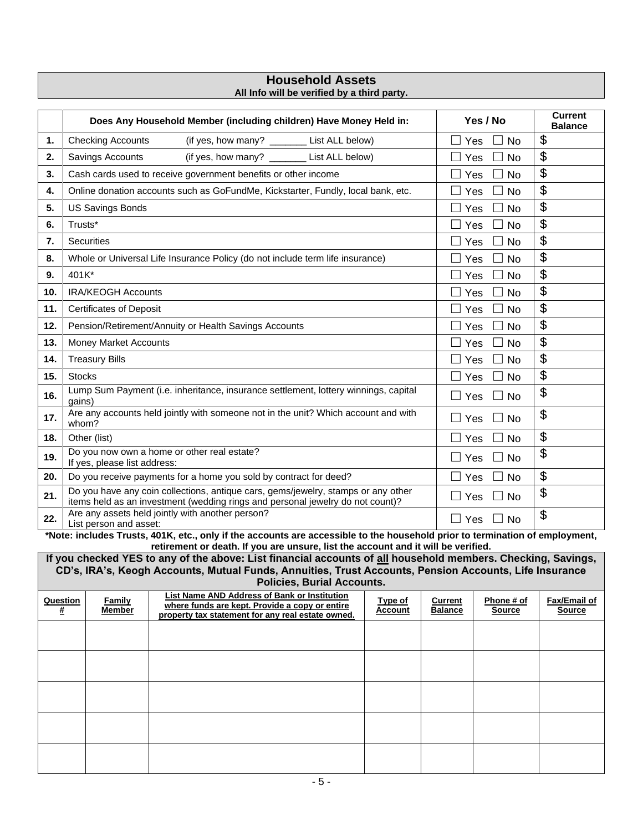### **Household Assets All Info will be verified by a third party.**

|     | Does Any Household Member (including children) Have Money Held in:                                                                                                                               | Yes / No                             | <b>Current</b><br><b>Balance</b> |
|-----|--------------------------------------------------------------------------------------------------------------------------------------------------------------------------------------------------|--------------------------------------|----------------------------------|
| 1.  | List ALL below)<br><b>Checking Accounts</b><br>(if yes, how many? $\sqrt{2}$                                                                                                                     | Yes<br><b>No</b>                     | \$                               |
| 2.  | (if yes, how many? _______ List ALL below)<br>Savings Accounts                                                                                                                                   | Yes<br>No                            | \$                               |
| 3.  | Cash cards used to receive government benefits or other income                                                                                                                                   | Yes<br>No                            | \$                               |
| 4.  | Online donation accounts such as GoFundMe, Kickstarter, Fundly, local bank, etc.                                                                                                                 | Yes<br><b>No</b>                     | \$                               |
| 5.  | <b>US Savings Bonds</b>                                                                                                                                                                          | No<br>Yes                            | \$                               |
| 6.  | Trusts*                                                                                                                                                                                          | Yes<br><b>No</b><br>$\blacksquare$   | \$                               |
| 7.  | <b>Securities</b>                                                                                                                                                                                | <b>No</b><br>Yes                     | \$                               |
| 8.  | Whole or Universal Life Insurance Policy (do not include term life insurance)                                                                                                                    | No<br>Yes                            | \$                               |
| 9.  | 401K*                                                                                                                                                                                            | Yes<br><b>No</b>                     | \$                               |
| 10. | <b>IRA/KEOGH Accounts</b>                                                                                                                                                                        | Yes<br><b>No</b>                     | \$                               |
| 11. | <b>Certificates of Deposit</b>                                                                                                                                                                   | Yes<br>No                            | \$                               |
| 12. | Pension/Retirement/Annuity or Health Savings Accounts                                                                                                                                            | Yes<br><b>No</b>                     | \$                               |
| 13. | <b>Money Market Accounts</b>                                                                                                                                                                     | Yes<br><b>No</b>                     | \$                               |
| 14. | <b>Treasury Bills</b>                                                                                                                                                                            | Yes<br><b>No</b>                     | \$                               |
| 15. | <b>Stocks</b>                                                                                                                                                                                    | Yes<br><b>No</b>                     | \$                               |
| 16. | Lump Sum Payment (i.e. inheritance, insurance settlement, lottery winnings, capital<br>gains)                                                                                                    | Yes<br><b>No</b><br>$\Box$           | \$                               |
| 17. | Are any accounts held jointly with someone not in the unit? Which account and with<br>whom?                                                                                                      | Yes<br><b>No</b><br>$\Box$<br>$\Box$ | \$                               |
| 18. | Other (list)                                                                                                                                                                                     | <b>No</b><br>Yes                     | \$                               |
| 19. | Do you now own a home or other real estate?<br>If yes, please list address:                                                                                                                      | Yes<br>$\Box$<br><b>No</b>           | \$                               |
| 20. | Do you receive payments for a home you sold by contract for deed?                                                                                                                                | Yes<br><b>No</b>                     | \$                               |
| 21. | Do you have any coin collections, antique cars, gems/jewelry, stamps or any other<br>items held as an investment (wedding rings and personal jewelry do not count)?                              | <b>No</b><br>Yes<br>$\Box$           | \$                               |
| 22. | Are any assets held jointly with another person?<br>List person and asset:<br>$10.41$ $\ell$ $\rightarrow$ $\ell$ $\rightarrow$ $\ell$ $\rightarrow$ $\ell$ $\rightarrow$ $\ell$<br><b>PE 10</b> | Yes<br>No<br>$\Box$                  | \$                               |

**\*Note: includes Trusts, 401K, etc., only if the accounts are accessible to the household prior to termination of employment, retirement or death. If you are unsure, list the account and it will be verified.**

**If you checked YES to any of the above: List financial accounts of all household members. Checking, Savings, CD's, IRA's, Keogh Accounts, Mutual Funds, Annuities, Trust Accounts, Pension Accounts, Life Insurance Policies, Burial Accounts.**

| Question<br># | Family<br><b>Member</b> | List Name AND Address of Bank or Institution<br>where funds are kept. Provide a copy or entire<br>property tax statement for any real estate owned. | <b>Type of</b><br><b>Account</b> | <b>Current</b><br><b>Balance</b> | Phone # of<br><b>Source</b> | Fax/Email of<br><b>Source</b> |
|---------------|-------------------------|-----------------------------------------------------------------------------------------------------------------------------------------------------|----------------------------------|----------------------------------|-----------------------------|-------------------------------|
|               |                         |                                                                                                                                                     |                                  |                                  |                             |                               |
|               |                         |                                                                                                                                                     |                                  |                                  |                             |                               |
|               |                         |                                                                                                                                                     |                                  |                                  |                             |                               |
|               |                         |                                                                                                                                                     |                                  |                                  |                             |                               |
|               |                         |                                                                                                                                                     |                                  |                                  |                             |                               |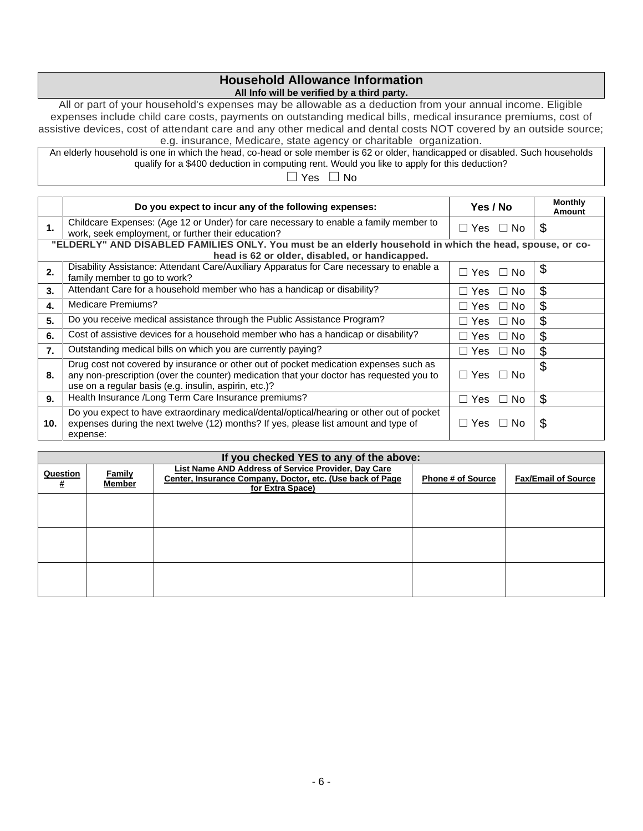### **Household Allowance Information All Info will be verified by a third party.**

All or part of your household's expenses may be allowable as a deduction from your annual income. Eligible expenses include child care costs, payments on outstanding medical bills, medical insurance premiums, cost of assistive devices, cost of attendant care and any other medical and dental costs NOT covered by an outside source; e.g. insurance, Medicare, state agency or charitable organization.

An elderly household is one in which the head, co-head or sole member is 62 or older, handicapped or disabled. Such households qualify for a \$400 deduction in computing rent. Would you like to apply for this deduction?

☐ Yes ☐ No

|                  | Do you expect to incur any of the following expenses:                                                                                                                                                                                      | Yes / No                   | <b>Monthly</b><br>Amount |
|------------------|--------------------------------------------------------------------------------------------------------------------------------------------------------------------------------------------------------------------------------------------|----------------------------|--------------------------|
| 1.               | Childcare Expenses: (Age 12 or Under) for care necessary to enable a family member to<br>work, seek employment, or further their education?                                                                                                | □ Yes □ No                 | \$                       |
|                  | "ELDERLY" AND DISABLED FAMILIES ONLY. You must be an elderly household in which the head, spouse, or co-<br>head is 62 or older, disabled, or handicapped.                                                                                 |                            |                          |
| 2.               | Disability Assistance: Attendant Care/Auxiliary Apparatus for Care necessary to enable a<br>family member to go to work?                                                                                                                   | $\Box$ Yes $\ \Box$<br>No. | \$                       |
| 3.               | Attendant Care for a household member who has a handicap or disability?                                                                                                                                                                    | No.<br>□ Yes<br>$\Box$     | \$                       |
| 4.               | Medicare Premiums?                                                                                                                                                                                                                         | No.<br>⊒ Yes<br>$\Box$     | \$                       |
| 5.               | Do you receive medical assistance through the Public Assistance Program?                                                                                                                                                                   | No.<br>⊥ Yes<br>$\Box$     | \$                       |
| 6.               | Cost of assistive devices for a household member who has a handicap or disability?                                                                                                                                                         | No.<br>⊥ Yes<br>$\Box$     | \$                       |
| $\overline{7}$ . | Outstanding medical bills on which you are currently paying?                                                                                                                                                                               | No.<br>⊟ Yes<br>$\Box$     | \$                       |
| 8.               | Drug cost not covered by insurance or other out of pocket medication expenses such as<br>any non-prescription (over the counter) medication that your doctor has requested you to<br>use on a regular basis (e.g. insulin, aspirin, etc.)? | ⊟ Yes⊣<br>No.<br>$\Box$    | \$                       |
| 9.               | Health Insurance /Long Term Care Insurance premiums?                                                                                                                                                                                       | No.<br>□ Yes<br>$\Box$     | \$                       |
| 10.              | Do you expect to have extraordinary medical/dental/optical/hearing or other out of pocket<br>expenses during the next twelve (12) months? If yes, please list amount and type of<br>expense:                                               | ⊟ Yes l<br>No.<br>$\Box$   | \$                       |

| If you checked YES to any of the above: |                                |                                                                                                                                             |                          |                            |
|-----------------------------------------|--------------------------------|---------------------------------------------------------------------------------------------------------------------------------------------|--------------------------|----------------------------|
| Question<br>#                           | <b>Family</b><br><b>Member</b> | <b>List Name AND Address of Service Provider, Day Care</b><br>Center, Insurance Company, Doctor, etc. (Use back of Page<br>for Extra Space) | <b>Phone # of Source</b> | <b>Fax/Email of Source</b> |
|                                         |                                |                                                                                                                                             |                          |                            |
|                                         |                                |                                                                                                                                             |                          |                            |
|                                         |                                |                                                                                                                                             |                          |                            |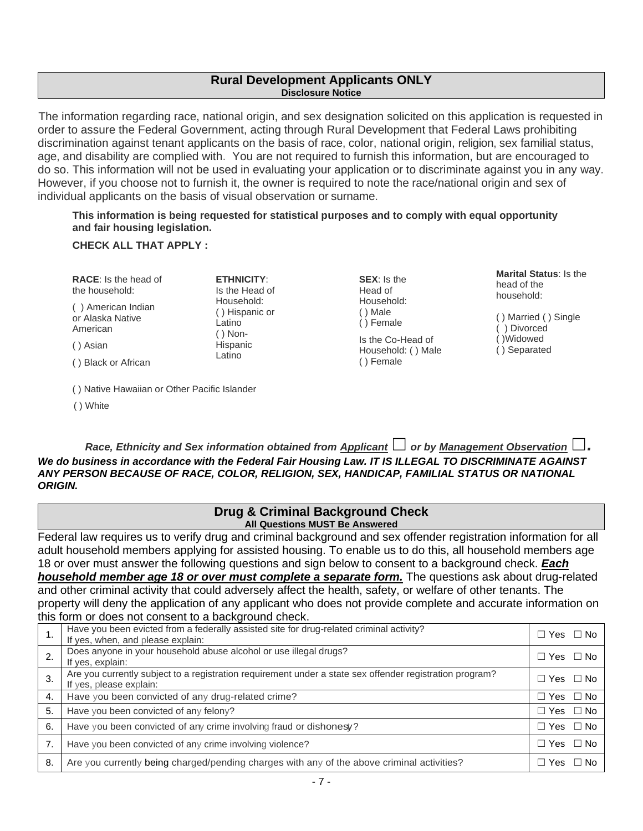### **Rural Development Applicants ONLY Disclosure Notice**

The information regarding race, national origin, and sex designation solicited on this application is requested in order to assure the Federal Government, acting through Rural Development that Federal Laws prohibiting discrimination against tenant applicants on the basis of race, color, national origin, religion, sex familial status, age, and disability are complied with. You are not required to furnish this information, but are encouraged to do so. This information will not be used in evaluating your application or to discriminate against you in any way. However, if you choose not to furnish it, the owner is required to note the race/national origin and sex of individual applicants on the basis of visual observation or surname.

### **This information is being requested for statistical purposes and to comply with equal opportunity and fair housing legislation.**

### **CHECK ALL THAT APPLY :**

**RACE**: Is the head of the household:

( ) American Indian or Alaska Native American

( ) Asian

( ) Black or African

( ) Native Hawaiian or Other Pacific Islander

( ) White

Is the Head of Household: ( ) Hispanic or Latino ( ) Non-Hispanic Latino

**ETHNICITY**:

**SEX**: Is the Head of Household: ( ) Male ( ) Female Is the Co-Head of Household: ( ) Male

( ) Female

**Marital Status**: Is the head of the household:

( ) Married ( ) Single ( ) Divorced ( )Widowed ( ) Separated

*Race, Ethnicity and Sex information obtained from Applicant*  $□$  *or by Management Observation*  $□$ *. We do business in accordance with the Federal Fair Housing Law. IT IS ILLEGAL TO DISCRIMINATE AGAINST ANY PERSON BECAUSE OF RACE, COLOR, RELIGION, SEX, HANDICAP, FAMILIAL STATUS OR NATIONAL ORIGIN.* 

### **Drug & Criminal Background Check All Questions MUST Be Answered**

Federal law requires us to verify drug and criminal background and sex offender registration information for all adult household members applying for assisted housing. To enable us to do this, all household members age 18 or over must answer the following questions and sign below to consent to a background check. *Each household member age 18 or over must complete a separate form.* The questions ask about drug-related and other criminal activity that could adversely affect the health, safety, or welfare of other tenants. The property will deny the application of any applicant who does not provide complete and accurate information on this form or does not consent to a background check.

| 1. | Have you been evicted from a federally assisted site for drug-related criminal activity?<br>If yes, when, and please explain:       | $\Box$ Yes $\Box$ No    |
|----|-------------------------------------------------------------------------------------------------------------------------------------|-------------------------|
|    | Does anyone in your household abuse alcohol or use illegal drugs?<br>If yes, explain:                                               | $\Box$ Yes $\Box$ No    |
| 3. | Are you currently subject to a registration requirement under a state sex offender registration program?<br>If yes, please explain: | $\Box$ Yes $\Box$ No    |
| 4. | Have you been convicted of any drug-related crime?                                                                                  | $\Box$ Yes $\Box$ No    |
| 5. | Have you been convicted of any felony?                                                                                              | $\Box$ Yes $\Box$ No    |
| 6. | Have you been convicted of any crime involving fraud or dishonesy?                                                                  | $\Box$ Yes $\Box$ No    |
| 7. | Have you been convicted of any crime involving violence?                                                                            | $\Box$ Yes $\Box$ No    |
| 8. | Are you currently being charged/pending charges with any of the above criminal activities?                                          | $\Box$ No<br>$\Box$ Yes |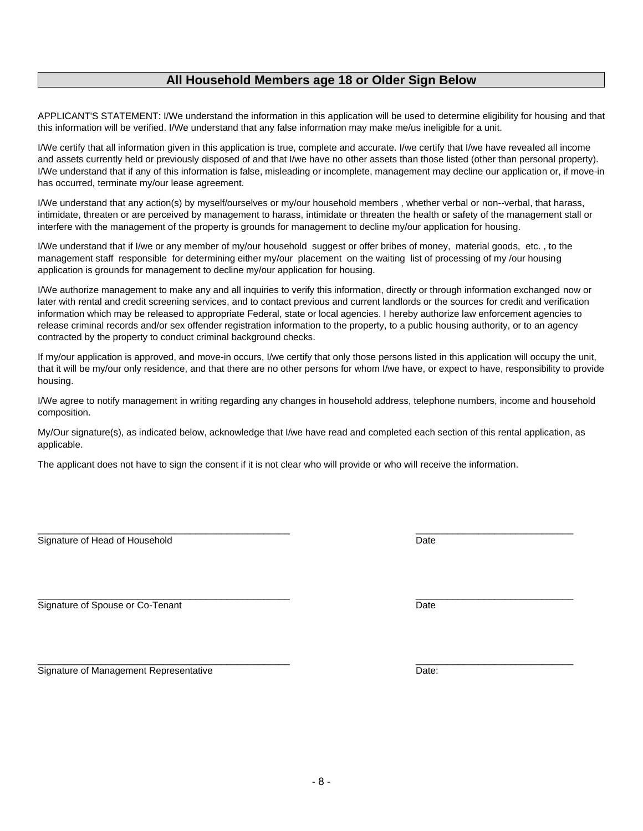#### interfere with the management of the property is grounds for management to decline my/our application for housing.

**All Household Members age 18 or Older Sign Below**

APPLICANT'S STATEMENT: I/We understand the information in this application will be used to determine eligibility for housing and that

I/We certify that all information given in this application is true, complete and accurate. I/we certify that I/we have revealed all income and assets currently held or previously disposed of and that I/we have no other assets than those listed (other than personal property). I/We understand that if any of this information is false, misleading or incomplete, management may decline our application or, if move-in

I/We understand that any action(s) by myself/ourselves or my/our household members , whether verbal or non--verbal, that harass, intimidate, threaten or are perceived by management to harass, intimidate or threaten the health or safety of the management stall or

this information will be verified. I/We understand that any false information may make me/us ineligible for a unit.

I/We understand that if I/we or any member of my/our household suggest or offer bribes of money, material goods, etc. , to the management staff responsible for determining either my/our placement on the waiting list of processing of my /our housing application is grounds for management to decline my/our application for housing.

I/We authorize management to make any and all inquiries to verify this information, directly or through information exchanged now or later with rental and credit screening services, and to contact previous and current landlords or the sources for credit and verification information which may be released to appropriate Federal, state or local agencies. I hereby authorize law enforcement agencies to release criminal records and/or sex offender registration information to the property, to a public housing authority, or to an agency contracted by the property to conduct criminal background checks.

If my/our application is approved, and move-in occurs, I/we certify that only those persons listed in this application will occupy the unit, that it will be my/our only residence, and that there are no other persons for whom I/we have, or expect to have, responsibility to provide housing.

I/We agree to notify management in writing regarding any changes in household address, telephone numbers, income and household composition.

My/Our signature(s), as indicated below, acknowledge that I/we have read and completed each section of this rental application, as applicable.

 $\frac{1}{2}$  ,  $\frac{1}{2}$  ,  $\frac{1}{2}$  ,  $\frac{1}{2}$  ,  $\frac{1}{2}$  ,  $\frac{1}{2}$  ,  $\frac{1}{2}$  ,  $\frac{1}{2}$  ,  $\frac{1}{2}$  ,  $\frac{1}{2}$  ,  $\frac{1}{2}$  ,  $\frac{1}{2}$  ,  $\frac{1}{2}$  ,  $\frac{1}{2}$  ,  $\frac{1}{2}$  ,  $\frac{1}{2}$  ,  $\frac{1}{2}$  ,  $\frac{1}{2}$  ,  $\frac{1$ 

 $\frac{1}{2}$  ,  $\frac{1}{2}$  ,  $\frac{1}{2}$  ,  $\frac{1}{2}$  ,  $\frac{1}{2}$  ,  $\frac{1}{2}$  ,  $\frac{1}{2}$  ,  $\frac{1}{2}$  ,  $\frac{1}{2}$  ,  $\frac{1}{2}$  ,  $\frac{1}{2}$  ,  $\frac{1}{2}$  ,  $\frac{1}{2}$  ,  $\frac{1}{2}$  ,  $\frac{1}{2}$  ,  $\frac{1}{2}$  ,  $\frac{1}{2}$  ,  $\frac{1}{2}$  ,  $\frac{1$ 

The applicant does not have to sign the consent if it is not clear who will provide or who will receive the information.

Signature of Head of Household Date

has occurred, terminate my/our lease agreement.

Signature of Spouse or Co-Tenant Date

Signature of Management Representative **Date:** Date: Date:

 $\frac{1}{2}$  ,  $\frac{1}{2}$  ,  $\frac{1}{2}$  ,  $\frac{1}{2}$  ,  $\frac{1}{2}$  ,  $\frac{1}{2}$  ,  $\frac{1}{2}$  ,  $\frac{1}{2}$  ,  $\frac{1}{2}$  ,  $\frac{1}{2}$  ,  $\frac{1}{2}$  ,  $\frac{1}{2}$  ,  $\frac{1}{2}$  ,  $\frac{1}{2}$  ,  $\frac{1}{2}$  ,  $\frac{1}{2}$  ,  $\frac{1}{2}$  ,  $\frac{1}{2}$  ,  $\frac{1$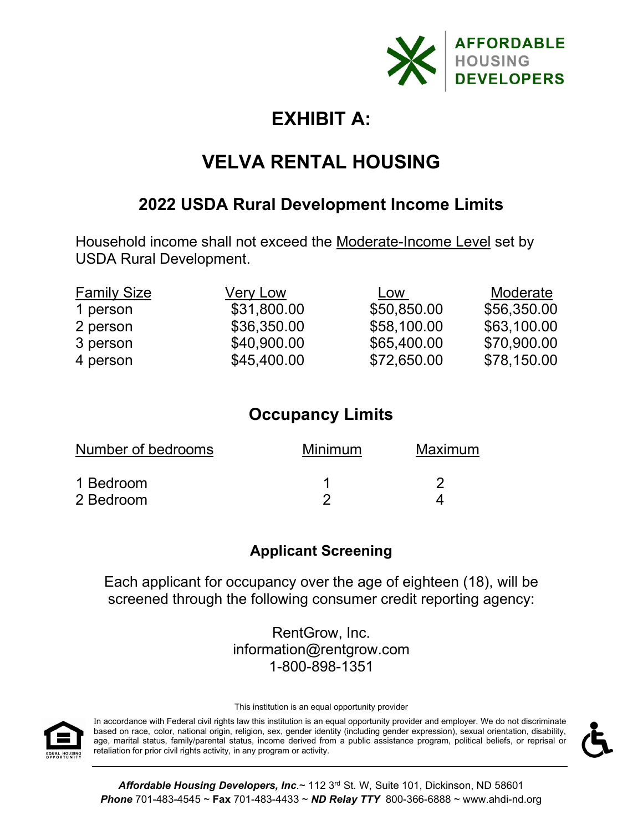

# **EXHIBIT A:**

# **VELVA RENTAL HOUSING**

## **2022 USDA Rural Development Income Limits**

Household income shall not exceed the Moderate-Income Level set by USDA Rural Development.

| <b>Family Size</b> | <b>Very Low</b> | Low         | Moderate    |
|--------------------|-----------------|-------------|-------------|
| 1 person           | \$31,800.00     | \$50,850.00 | \$56,350.00 |
| 2 person           | \$36,350.00     | \$58,100.00 | \$63,100.00 |
| 3 person           | \$40,900.00     | \$65,400.00 | \$70,900.00 |
| 4 person           | \$45,400.00     | \$72,650.00 | \$78,150.00 |

# **Occupancy Limits**

| Number of bedrooms | Minimum | Maximum |  |
|--------------------|---------|---------|--|
| 1 Bedroom          |         |         |  |
| 2 Bedroom          |         |         |  |

## **Applicant Screening**

Each applicant for occupancy over the age of eighteen (18), will be screened through the following consumer credit reporting agency:

> RentGrow, Inc. information@rentgrow.com 1-800-898-1351

This institution is an equal opportunity provider



In accordance with Federal civil rights law this institution is an equal opportunity provider and employer. We do not discriminate based on race, color, national origin, religion, sex, gender identity (including gender expression), sexual orientation, disability, age, marital status, family/parental status, income derived from a public assistance program, political beliefs, or reprisal or retaliation for prior civil rights activity, in any program or activity.



**Affordable Housing Developers, Inc.~ 112 3rd St. W, Suite 101, Dickinson, ND 58601** *Phone* 701-483-4545 ~ **Fax** 701-483-4433 ~ *ND Relay TTY* 800-366-6888 ~ www.ahdi-nd.org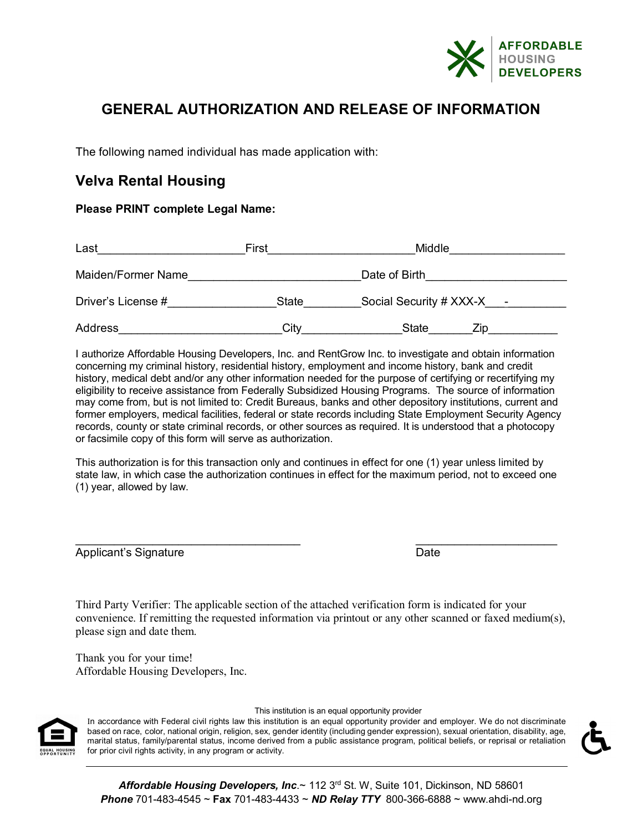

## **GENERAL AUTHORIZATION AND RELEASE OF INFORMATION**

The following named individual has made application with:

## **Velva Rental Housing**

### **Please PRINT complete Legal Name:**

| Last               | First        | Middle                        |  |
|--------------------|--------------|-------------------------------|--|
| Maiden/Former Name |              | Date of Birth                 |  |
| Driver's License # | <b>State</b> | Social Security # $XXX-X$ $-$ |  |
| Address            | Citv         | <b>State</b><br>∕ın           |  |

I authorize Affordable Housing Developers, Inc. and RentGrow Inc. to investigate and obtain information concerning my criminal history, residential history, employment and income history, bank and credit history, medical debt and/or any other information needed for the purpose of certifying or recertifying my eligibility to receive assistance from Federally Subsidized Housing Programs. The source of information may come from, but is not limited to: Credit Bureaus, banks and other depository institutions, current and former employers, medical facilities, federal or state records including State Employment Security Agency records, county or state criminal records, or other sources as required. It is understood that a photocopy or facsimile copy of this form will serve as authorization.

This authorization is for this transaction only and continues in effect for one (1) year unless limited by state law, in which case the authorization continues in effect for the maximum period, not to exceed one (1) year, allowed by law.

\_\_\_\_\_\_\_\_\_\_\_\_\_\_\_\_\_\_\_\_\_\_\_\_\_\_\_\_\_\_\_\_\_\_\_ \_\_\_\_\_\_\_\_\_\_\_\_\_\_\_\_\_\_\_\_\_\_ Applicant's Signature **Date** Date **Date** 

Third Party Verifier: The applicable section of the attached verification form is indicated for your convenience. If remitting the requested information via printout or any other scanned or faxed medium(s), please sign and date them.

Thank you for your time! Affordable Housing Developers, Inc.



#### This institution is an equal opportunity provider

In accordance with Federal civil rights law this institution is an equal opportunity provider and employer. We do not discriminate based on race, color, national origin, religion, sex, gender identity (including gender expression), sexual orientation, disability, age, marital status, family/parental status, income derived from a public assistance program, political beliefs, or reprisal or retaliation for prior civil rights activity, in any program or activity.

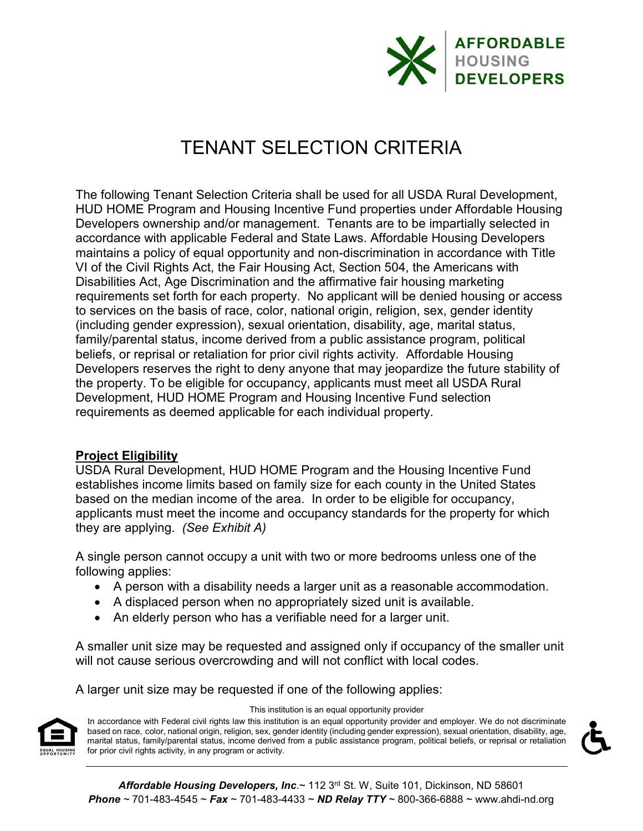

# TENANT SELECTION CRITERIA

The following Tenant Selection Criteria shall be used for all USDA Rural Development, HUD HOME Program and Housing Incentive Fund properties under Affordable Housing Developers ownership and/or management. Tenants are to be impartially selected in accordance with applicable Federal and State Laws. Affordable Housing Developers maintains a policy of equal opportunity and non-discrimination in accordance with Title VI of the Civil Rights Act, the Fair Housing Act, Section 504, the Americans with Disabilities Act, Age Discrimination and the affirmative fair housing marketing requirements set forth for each property. No applicant will be denied housing or access to services on the basis of race, color, national origin, religion, sex, gender identity (including gender expression), sexual orientation, disability, age, marital status, family/parental status, income derived from a public assistance program, political beliefs, or reprisal or retaliation for prior civil rights activity. Affordable Housing Developers reserves the right to deny anyone that may jeopardize the future stability of the property. To be eligible for occupancy, applicants must meet all USDA Rural Development, HUD HOME Program and Housing Incentive Fund selection requirements as deemed applicable for each individual property.

### **Project Eligibility**

USDA Rural Development, HUD HOME Program and the Housing Incentive Fund establishes income limits based on family size for each county in the United States based on the median income of the area. In order to be eligible for occupancy, applicants must meet the income and occupancy standards for the property for which they are applying. *(See Exhibit A)*

A single person cannot occupy a unit with two or more bedrooms unless one of the following applies:

- A person with a disability needs a larger unit as a reasonable accommodation.
- A displaced person when no appropriately sized unit is available.
- An elderly person who has a verifiable need for a larger unit.

A smaller unit size may be requested and assigned only if occupancy of the smaller unit will not cause serious overcrowding and will not conflict with local codes.

A larger unit size may be requested if one of the following applies:



#### This institution is an equal opportunity provider

In accordance with Federal civil rights law this institution is an equal opportunity provider and employer. We do not discriminate based on race, color, national origin, religion, sex, gender identity (including gender expression), sexual orientation, disability, age, marital status, family/parental status, income derived from a public assistance program, political beliefs, or reprisal or retaliation for prior civil rights activity, in any program or activity.

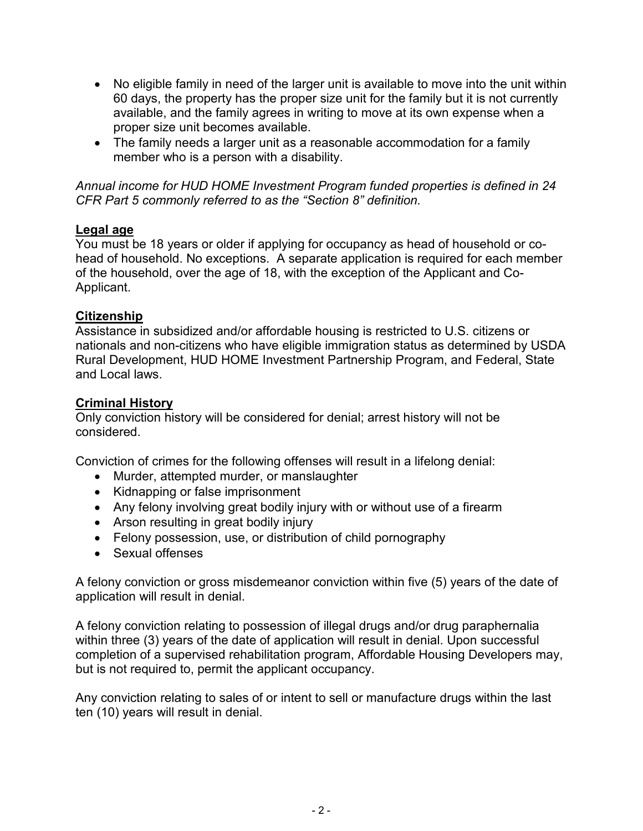- No eligible family in need of the larger unit is available to move into the unit within 60 days, the property has the proper size unit for the family but it is not currently available, and the family agrees in writing to move at its own expense when a proper size unit becomes available.
- The family needs a larger unit as a reasonable accommodation for a family member who is a person with a disability.

*Annual income for HUD HOME Investment Program funded properties is defined in 24 CFR Part 5 commonly referred to as the "Section 8" definition.* 

### **Legal age**

You must be 18 years or older if applying for occupancy as head of household or cohead of household. No exceptions. A separate application is required for each member of the household, over the age of 18, with the exception of the Applicant and Co-Applicant.

### **Citizenship**

Assistance in subsidized and/or affordable housing is restricted to U.S. citizens or nationals and non-citizens who have eligible immigration status as determined by USDA Rural Development, HUD HOME Investment Partnership Program, and Federal, State and Local laws.

### **Criminal History**

Only conviction history will be considered for denial; arrest history will not be considered.

Conviction of crimes for the following offenses will result in a lifelong denial:

- Murder, attempted murder, or manslaughter
- Kidnapping or false imprisonment
- Any felony involving great bodily injury with or without use of a firearm
- Arson resulting in great bodily injury
- Felony possession, use, or distribution of child pornography
- Sexual offenses

A felony conviction or gross misdemeanor conviction within five (5) years of the date of application will result in denial.

A felony conviction relating to possession of illegal drugs and/or drug paraphernalia within three (3) years of the date of application will result in denial. Upon successful completion of a supervised rehabilitation program, Affordable Housing Developers may, but is not required to, permit the applicant occupancy.

Any conviction relating to sales of or intent to sell or manufacture drugs within the last ten (10) years will result in denial.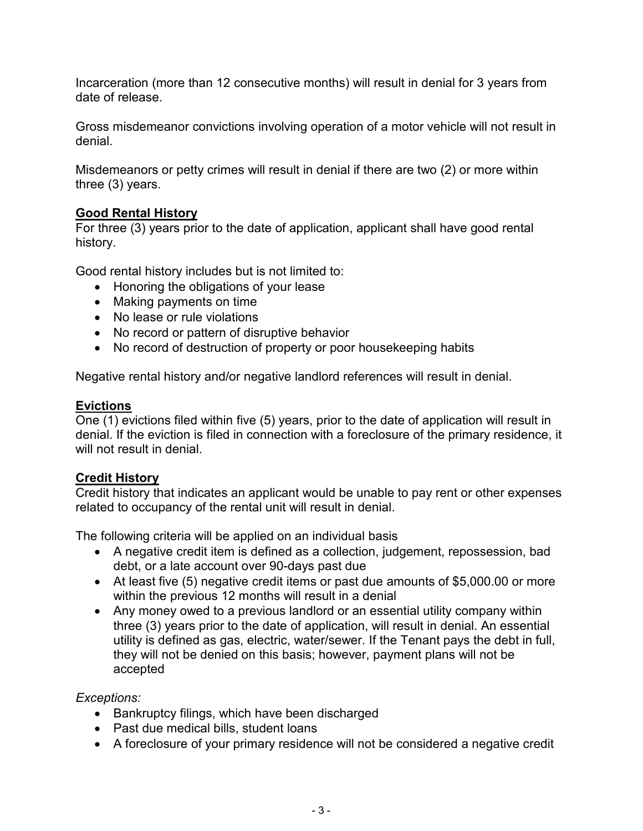Incarceration (more than 12 consecutive months) will result in denial for 3 years from date of release.

Gross misdemeanor convictions involving operation of a motor vehicle will not result in denial.

Misdemeanors or petty crimes will result in denial if there are two (2) or more within three (3) years.

## **Good Rental History**

For three (3) years prior to the date of application, applicant shall have good rental history.

Good rental history includes but is not limited to:

- Honoring the obligations of your lease
- Making payments on time
- No lease or rule violations
- No record or pattern of disruptive behavior
- No record of destruction of property or poor housekeeping habits

Negative rental history and/or negative landlord references will result in denial.

## **Evictions**

One (1) evictions filed within five (5) years, prior to the date of application will result in denial. If the eviction is filed in connection with a foreclosure of the primary residence, it will not result in denial

## **Credit History**

Credit history that indicates an applicant would be unable to pay rent or other expenses related to occupancy of the rental unit will result in denial.

The following criteria will be applied on an individual basis

- A negative credit item is defined as a collection, judgement, repossession, bad debt, or a late account over 90-days past due
- At least five (5) negative credit items or past due amounts of \$5,000.00 or more within the previous 12 months will result in a denial
- Any money owed to a previous landlord or an essential utility company within three (3) years prior to the date of application, will result in denial. An essential utility is defined as gas, electric, water/sewer. If the Tenant pays the debt in full, they will not be denied on this basis; however, payment plans will not be accepted

## *Exceptions:*

- Bankruptcy filings, which have been discharged
- Past due medical bills, student loans
- A foreclosure of your primary residence will not be considered a negative credit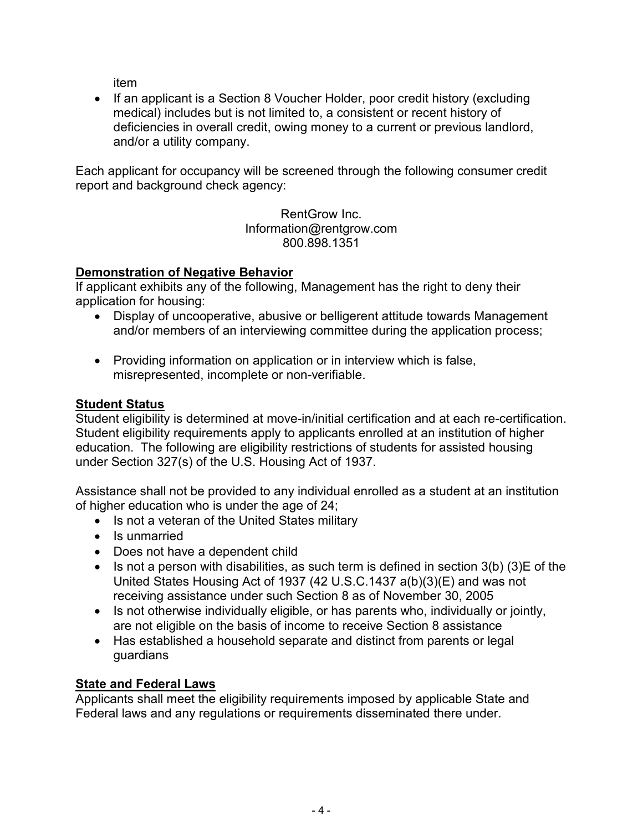item

• If an applicant is a Section 8 Voucher Holder, poor credit history (excluding medical) includes but is not limited to, a consistent or recent history of deficiencies in overall credit, owing money to a current or previous landlord, and/or a utility company.

Each applicant for occupancy will be screened through the following consumer credit report and background check agency:

> RentGrow Inc. Information@rentgrow.com 800.898.1351

## **Demonstration of Negative Behavior**

If applicant exhibits any of the following, Management has the right to deny their application for housing:

- Display of uncooperative, abusive or belligerent attitude towards Management and/or members of an interviewing committee during the application process;
- Providing information on application or in interview which is false, misrepresented, incomplete or non-verifiable.

## **Student Status**

Student eligibility is determined at move-in/initial certification and at each re-certification. Student eligibility requirements apply to applicants enrolled at an institution of higher education. The following are eligibility restrictions of students for assisted housing under Section 327(s) of the U.S. Housing Act of 1937.

Assistance shall not be provided to any individual enrolled as a student at an institution of higher education who is under the age of 24;

- Is not a veteran of the United States military
- Is unmarried
- Does not have a dependent child
- $\bullet$  Is not a person with disabilities, as such term is defined in section 3(b) (3) E of the United States Housing Act of 1937 (42 U.S.C.1437 a(b)(3)(E) and was not receiving assistance under such Section 8 as of November 30, 2005
- Is not otherwise individually eligible, or has parents who, individually or jointly, are not eligible on the basis of income to receive Section 8 assistance
- Has established a household separate and distinct from parents or legal guardians

## **State and Federal Laws**

Applicants shall meet the eligibility requirements imposed by applicable State and Federal laws and any regulations or requirements disseminated there under.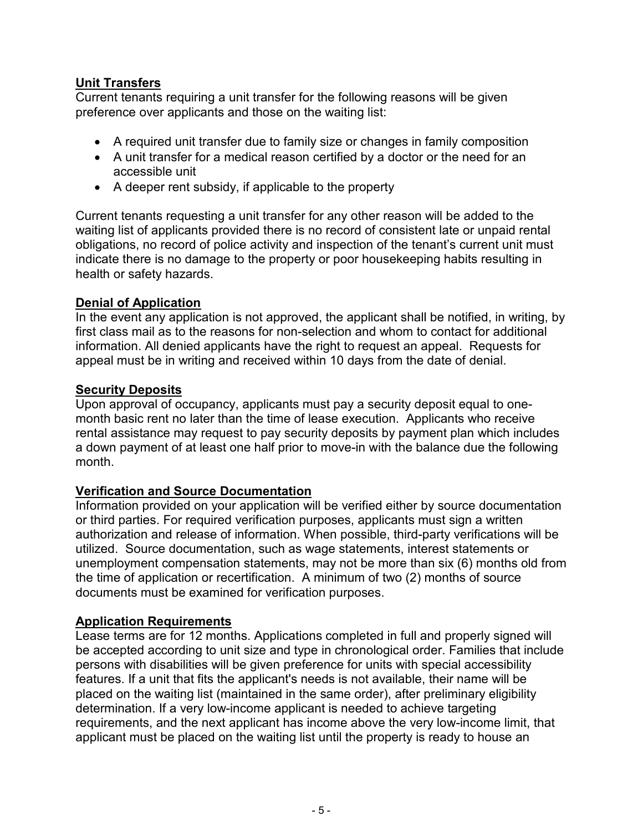### **Unit Transfers**

Current tenants requiring a unit transfer for the following reasons will be given preference over applicants and those on the waiting list:

- A required unit transfer due to family size or changes in family composition
- A unit transfer for a medical reason certified by a doctor or the need for an accessible unit
- A deeper rent subsidy, if applicable to the property

Current tenants requesting a unit transfer for any other reason will be added to the waiting list of applicants provided there is no record of consistent late or unpaid rental obligations, no record of police activity and inspection of the tenant's current unit must indicate there is no damage to the property or poor housekeeping habits resulting in health or safety hazards.

### **Denial of Application**

In the event any application is not approved, the applicant shall be notified, in writing, by first class mail as to the reasons for non-selection and whom to contact for additional information. All denied applicants have the right to request an appeal. Requests for appeal must be in writing and received within 10 days from the date of denial.

### **Security Deposits**

Upon approval of occupancy, applicants must pay a security deposit equal to onemonth basic rent no later than the time of lease execution. Applicants who receive rental assistance may request to pay security deposits by payment plan which includes a down payment of at least one half prior to move-in with the balance due the following month.

## **Verification and Source Documentation**

Information provided on your application will be verified either by source documentation or third parties. For required verification purposes, applicants must sign a written authorization and release of information. When possible, third-party verifications will be utilized. Source documentation, such as wage statements, interest statements or unemployment compensation statements, may not be more than six (6) months old from the time of application or recertification. A minimum of two (2) months of source documents must be examined for verification purposes.

### **Application Requirements**

Lease terms are for 12 months. Applications completed in full and properly signed will be accepted according to unit size and type in chronological order. Families that include persons with disabilities will be given preference for units with special accessibility features. If a unit that fits the applicant's needs is not available, their name will be placed on the waiting list (maintained in the same order), after preliminary eligibility determination. If a very low-income applicant is needed to achieve targeting requirements, and the next applicant has income above the very low-income limit, that applicant must be placed on the waiting list until the property is ready to house an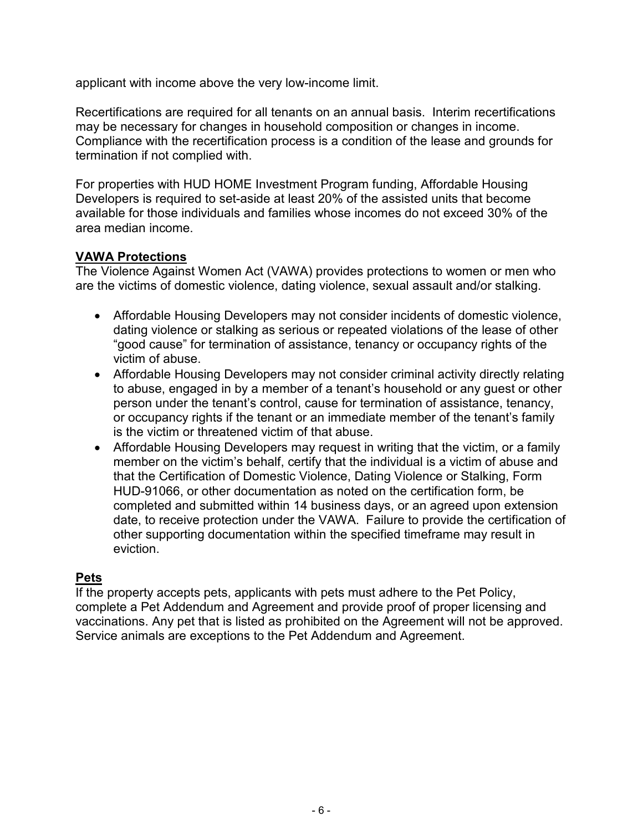applicant with income above the very low-income limit.

Recertifications are required for all tenants on an annual basis. Interim recertifications may be necessary for changes in household composition or changes in income. Compliance with the recertification process is a condition of the lease and grounds for termination if not complied with.

For properties with HUD HOME Investment Program funding, Affordable Housing Developers is required to set-aside at least 20% of the assisted units that become available for those individuals and families whose incomes do not exceed 30% of the area median income.

### **VAWA Protections**

The Violence Against Women Act (VAWA) provides protections to women or men who are the victims of domestic violence, dating violence, sexual assault and/or stalking.

- Affordable Housing Developers may not consider incidents of domestic violence, dating violence or stalking as serious or repeated violations of the lease of other "good cause" for termination of assistance, tenancy or occupancy rights of the victim of abuse.
- Affordable Housing Developers may not consider criminal activity directly relating to abuse, engaged in by a member of a tenant's household or any guest or other person under the tenant's control, cause for termination of assistance, tenancy, or occupancy rights if the tenant or an immediate member of the tenant's family is the victim or threatened victim of that abuse.
- Affordable Housing Developers may request in writing that the victim, or a family member on the victim's behalf, certify that the individual is a victim of abuse and that the Certification of Domestic Violence, Dating Violence or Stalking, Form HUD-91066, or other documentation as noted on the certification form, be completed and submitted within 14 business days, or an agreed upon extension date, to receive protection under the VAWA. Failure to provide the certification of other supporting documentation within the specified timeframe may result in eviction.

### **Pets**

If the property accepts pets, applicants with pets must adhere to the Pet Policy, complete a Pet Addendum and Agreement and provide proof of proper licensing and vaccinations. Any pet that is listed as prohibited on the Agreement will not be approved. Service animals are exceptions to the Pet Addendum and Agreement.